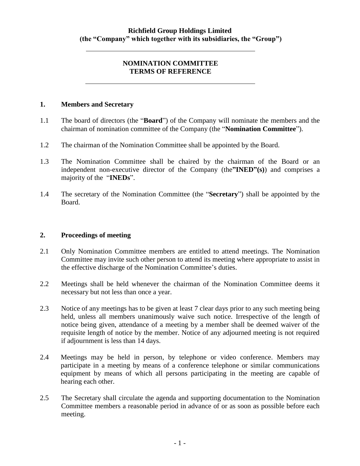## **NOMINATION COMMITTEE TERMS OF REFERENCE**

#### **1. Members and Secretary**

- 1.1 The board of directors (the "**Board**") of the Company will nominate the members and the chairman of nomination committee of the Company (the "**Nomination Committee**").
- 1.2 The chairman of the Nomination Committee shall be appointed by the Board.
- 1.3 The Nomination Committee shall be chaired by the chairman of the Board or an independent non-executive director of the Company (the**"INED"(s)**) and comprises a majority of the "**INEDs**".
- 1.4 The secretary of the Nomination Committee (the "**Secretary**") shall be appointed by the Board.

### **2. Proceedings of meeting**

- 2.1 Only Nomination Committee members are entitled to attend meetings. The Nomination Committee may invite such other person to attend its meeting where appropriate to assist in the effective discharge of the Nomination Committee"s duties.
- 2.2 Meetings shall be held whenever the chairman of the Nomination Committee deems it necessary but not less than once a year.
- 2.3 Notice of any meetings has to be given at least 7 clear days prior to any such meeting being held, unless all members unanimously waive such notice. Irrespective of the length of notice being given, attendance of a meeting by a member shall be deemed waiver of the requisite length of notice by the member. Notice of any adjourned meeting is not required if adjournment is less than 14 days.
- 2.4 Meetings may be held in person, by telephone or video conference. Members may participate in a meeting by means of a conference telephone or similar communications equipment by means of which all persons participating in the meeting are capable of hearing each other.
- 2.5 The Secretary shall circulate the agenda and supporting documentation to the Nomination Committee members a reasonable period in advance of or as soon as possible before each meeting.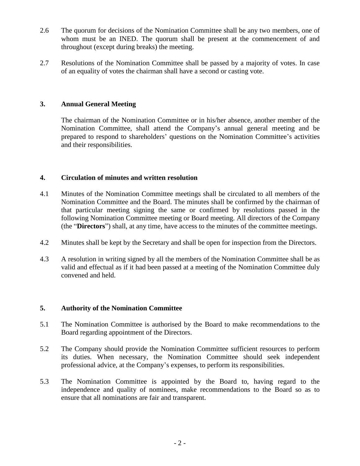- 2.6 The quorum for decisions of the Nomination Committee shall be any two members, one of whom must be an INED. The quorum shall be present at the commencement of and throughout (except during breaks) the meeting.
- 2.7 Resolutions of the Nomination Committee shall be passed by a majority of votes. In case of an equality of votes the chairman shall have a second or casting vote.

## **3. Annual General Meeting**

The chairman of the Nomination Committee or in his/her absence, another member of the Nomination Committee, shall attend the Company"s annual general meeting and be prepared to respond to shareholders' questions on the Nomination Committee's activities and their responsibilities.

### **4. Circulation of minutes and written resolution**

- 4.1 Minutes of the Nomination Committee meetings shall be circulated to all members of the Nomination Committee and the Board. The minutes shall be confirmed by the chairman of that particular meeting signing the same or confirmed by resolutions passed in the following Nomination Committee meeting or Board meeting. All directors of the Company (the "**Directors**") shall, at any time, have access to the minutes of the committee meetings.
- 4.2 Minutes shall be kept by the Secretary and shall be open for inspection from the Directors.
- 4.3 A resolution in writing signed by all the members of the Nomination Committee shall be as valid and effectual as if it had been passed at a meeting of the Nomination Committee duly convened and held.

### **5. Authority of the Nomination Committee**

- 5.1 The Nomination Committee is authorised by the Board to make recommendations to the Board regarding appointment of the Directors.
- 5.2 The Company should provide the Nomination Committee sufficient resources to perform its duties. When necessary, the Nomination Committee should seek independent professional advice, at the Company"s expenses, to perform its responsibilities.
- 5.3 The Nomination Committee is appointed by the Board to, having regard to the independence and quality of nominees, make recommendations to the Board so as to ensure that all nominations are fair and transparent.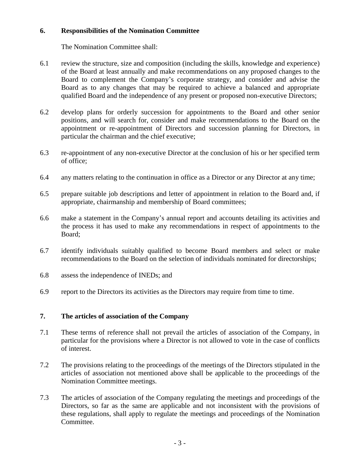# **6. Responsibilities of the Nomination Committee**

The Nomination Committee shall:

- 6.1 review the structure, size and composition (including the skills, knowledge and experience) of the Board at least annually and make recommendations on any proposed changes to the Board to complement the Company"s corporate strategy, and consider and advise the Board as to any changes that may be required to achieve a balanced and appropriate qualified Board and the independence of any present or proposed non-executive Directors;
- 6.2 develop plans for orderly succession for appointments to the Board and other senior positions, and will search for, consider and make recommendations to the Board on the appointment or re-appointment of Directors and succession planning for Directors, in particular the chairman and the chief executive;
- 6.3 re-appointment of any non-executive Director at the conclusion of his or her specified term of office;
- 6.4 any matters relating to the continuation in office as a Director or any Director at any time;
- 6.5 prepare suitable job descriptions and letter of appointment in relation to the Board and, if appropriate, chairmanship and membership of Board committees;
- 6.6 make a statement in the Company"s annual report and accounts detailing its activities and the process it has used to make any recommendations in respect of appointments to the Board;
- 6.7 identify individuals suitably qualified to become Board members and select or make recommendations to the Board on the selection of individuals nominated for directorships;
- 6.8 assess the independence of INEDs; and
- 6.9 report to the Directors its activities as the Directors may require from time to time.

# **7. The articles of association of the Company**

- 7.1 These terms of reference shall not prevail the articles of association of the Company, in particular for the provisions where a Director is not allowed to vote in the case of conflicts of interest.
- 7.2 The provisions relating to the proceedings of the meetings of the Directors stipulated in the articles of association not mentioned above shall be applicable to the proceedings of the Nomination Committee meetings.
- 7.3 The articles of association of the Company regulating the meetings and proceedings of the Directors, so far as the same are applicable and not inconsistent with the provisions of these regulations, shall apply to regulate the meetings and proceedings of the Nomination Committee.